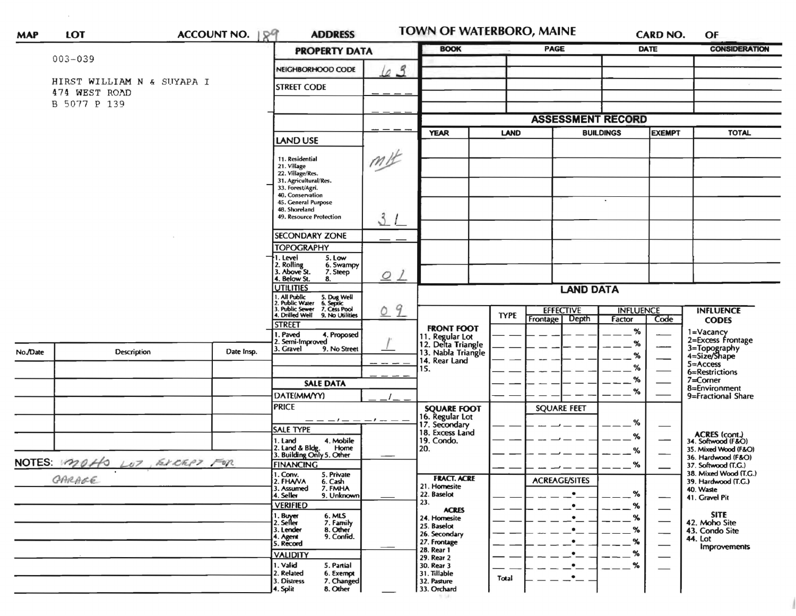| <b>MAP</b>                  | LOT                           |                                               | ACCOUNT NO. 199                                                                        | <b>ADDRESS</b>                                            |                | TOWN OF WATERBORO, MAINE                                    |                  |                          | <b>CARD NO.</b> |                     | OF                                           |
|-----------------------------|-------------------------------|-----------------------------------------------|----------------------------------------------------------------------------------------|-----------------------------------------------------------|----------------|-------------------------------------------------------------|------------------|--------------------------|-----------------|---------------------|----------------------------------------------|
|                             |                               |                                               |                                                                                        | <b>PROPERTY DATA</b>                                      |                | <b>BOOK</b>                                                 |                  | PAGE                     |                 | <b>DATE</b>         | <b>CONSIDERATION</b>                         |
|                             | $003 - 039$                   |                                               |                                                                                        | NEIGHBORHOOD CODE                                         | 63             |                                                             |                  |                          |                 |                     |                                              |
|                             | HIRST WILLIAM N & SUYAPA I    |                                               |                                                                                        |                                                           |                |                                                             |                  |                          |                 |                     |                                              |
|                             | 474 WEST ROAD<br>B 5077 P 139 |                                               |                                                                                        |                                                           |                |                                                             |                  |                          |                 |                     |                                              |
|                             |                               |                                               |                                                                                        |                                                           |                | <b>ASSESSMENT RECORD</b>                                    |                  |                          |                 |                     |                                              |
|                             |                               |                                               |                                                                                        |                                                           | m              | <b>YEAR</b>                                                 |                  | LAND<br><b>BUILDINGS</b> |                 | <b>EXEMPT</b>       | <b>TOTAL</b>                                 |
|                             |                               |                                               |                                                                                        | <b>LAND USE</b>                                           |                |                                                             |                  |                          |                 |                     |                                              |
|                             |                               |                                               |                                                                                        | 11. Residential                                           |                |                                                             |                  |                          |                 |                     |                                              |
|                             |                               |                                               | 21. Village<br>22. Village/Res.                                                        |                                                           |                |                                                             |                  |                          |                 |                     |                                              |
|                             |                               |                                               | 31. Agricultural/Res.<br>33. Forest/Agri.                                              |                                                           |                |                                                             |                  |                          |                 |                     |                                              |
|                             |                               |                                               | 40. Conservation<br>45. General Purpose                                                |                                                           |                |                                                             |                  | $\bullet$                |                 |                     |                                              |
|                             |                               |                                               |                                                                                        | 48. Shoreland<br>49. Resource Protection                  | 31             |                                                             |                  |                          |                 |                     |                                              |
|                             |                               |                                               |                                                                                        | <b>SECONDARY ZONE</b>                                     |                |                                                             |                  |                          |                 |                     |                                              |
|                             |                               |                                               | <b>TOPOGRAPHY</b>                                                                      |                                                           |                |                                                             |                  |                          |                 |                     |                                              |
|                             |                               | 1. Level<br>5. Low<br>2. Rolling<br>6. Swampy |                                                                                        |                                                           |                |                                                             |                  |                          |                 |                     |                                              |
|                             |                               |                                               |                                                                                        | 3. Above St.<br>7. Steep<br>4. Below St.<br>8.            | O <sub>L</sub> |                                                             |                  |                          |                 |                     |                                              |
|                             |                               |                                               |                                                                                        | <b>UTILITIES</b>                                          |                |                                                             |                  | <b>LAND DATA</b>         |                 |                     |                                              |
|                             |                               |                                               | 1. All Public 5. Dug Well<br>2. Public Water 6. Septic<br>3. Public Sewer 7. Cess Pool | 09                                                        |                |                                                             | <b>EFFECTIVE</b> | <b>INFLUENCE</b>         |                 | <b>INFLUENCE</b>    |                                              |
|                             |                               |                                               |                                                                                        | 4. Drilled Well 9. No Utilities<br><b>STREET</b>          |                | <b>FRONT FOOT</b>                                           | <b>TYPE</b>      | Depth<br>Frontage        | Factor          | Code                | <b>CODES</b>                                 |
|                             |                               |                                               |                                                                                        | Paved<br>4. Proposed<br>. Semi-Improved                   |                |                                                             |                  |                          | %               |                     | 1=Vacancy<br>2=Excess Frontage               |
| No./Date                    |                               | <b>Description</b>                            | Date Insp.                                                                             | 3. Gravel<br>9. No Street                                 |                | 11. Regular Lot<br>12. Delta Triangle<br>13. Nabla Triangle |                  |                          | %<br>%          |                     | 3=Topography<br>4=Size/Shape                 |
|                             |                               |                                               |                                                                                        |                                                           |                | 14. Rear Land<br>15.                                        |                  |                          | %               |                     | $5 =$ Access<br>6=Restrictions               |
|                             |                               |                                               |                                                                                        | <b>SALE DATA</b>                                          |                |                                                             |                  |                          | %               |                     | 7=Corner                                     |
|                             |                               |                                               |                                                                                        | DATE(MM/YY)                                               |                |                                                             |                  |                          | $\%$            |                     | 8=Environment<br>9=Fractional Share          |
|                             |                               |                                               |                                                                                        | <b>PRICE</b>                                              |                | <b>SQUARE FOOT</b>                                          |                  | <b>SQUARE FEET</b>       |                 |                     |                                              |
|                             |                               |                                               |                                                                                        |                                                           | $-1 - -$       | 16. Regular Lot                                             |                  |                          | %               |                     |                                              |
|                             |                               |                                               |                                                                                        | <b>SALE TYPE</b><br>4. Mobile<br>1. Land                  |                | 18. Excess Land<br>19. Condo.                               |                  |                          | ℅               |                     | ACRES (cont.)<br>34. Softwood (F&O)          |
|                             |                               |                                               |                                                                                        | 2. Land & Bldg. Home<br>3. Building Only 5. Other<br>Home |                | 20.                                                         |                  |                          | %               |                     | 35. Mixed Wood (F&O)<br>36. Hardwood (F&O)   |
| NOTES: MOHO LOT, EXCRPT FOR |                               |                                               | <b>FINANCING</b>                                                                       |                                                           |                |                                                             |                  | %                        |                 | 37. Softwood (T.G.) |                                              |
|                             | CARAGE                        |                                               |                                                                                        | 1. Conv.<br>5. Private<br>2. FHAVA<br>6. Cash             |                | <b>FRACT. ACRE</b><br>21. Homesite                          |                  | <b>ACREAGE/SITES</b>     |                 |                     | 38. Mixed Wood (T.G.)<br>39. Hardwood (T.G.) |
|                             |                               |                                               |                                                                                        | 7. FMHA<br>3. Assumed<br>9. Unknown<br>4. Seller          |                | 22. Baselot                                                 |                  |                          | %               | —                   | 40. Waste<br>41. Gravel Pit                  |
|                             |                               |                                               |                                                                                        | <b>VERIFIED</b>                                           |                | 23.<br><b>ACRES</b>                                         |                  |                          | %               |                     | <b>SITE</b>                                  |
|                             |                               |                                               |                                                                                        | 1. Buyer<br>2. Seller<br>6. MLS<br>7. Family<br>8. Other  |                | 24. Homesite<br>25. Baselot                                 |                  | ٠                        | %               |                     | 42. Moho Site                                |
|                             |                               |                                               |                                                                                        | 3. Lender<br>9. Confid.<br>4. Agent<br>5. Record          |                | 26. Secondary<br>27. Frontage                               |                  | ٠                        | %<br>%          | --                  | 43. Condo Site<br>44. Lot                    |
|                             |                               |                                               |                                                                                        | <b>VALIDITY</b>                                           |                | 28. Rear 1                                                  |                  | $\bullet$                | %               |                     | <b>Improvements</b>                          |
|                             |                               |                                               |                                                                                        | 5. Partial<br>1. Valid                                    |                | 29. Rear 2<br>30. Rear 3                                    |                  |                          | ℅               |                     |                                              |
|                             |                               |                                               |                                                                                        | 2. Related<br>6. Exempt<br>3. Distress<br>7. Changed      |                | 31. Tillable<br>32. Pasture                                 | Total            | $\bullet$                |                 |                     |                                              |
|                             |                               |                                               |                                                                                        | 8. Other<br>4. Split                                      |                | 33. Orchard                                                 |                  |                          |                 |                     |                                              |

 $\sim 10^{-11}$